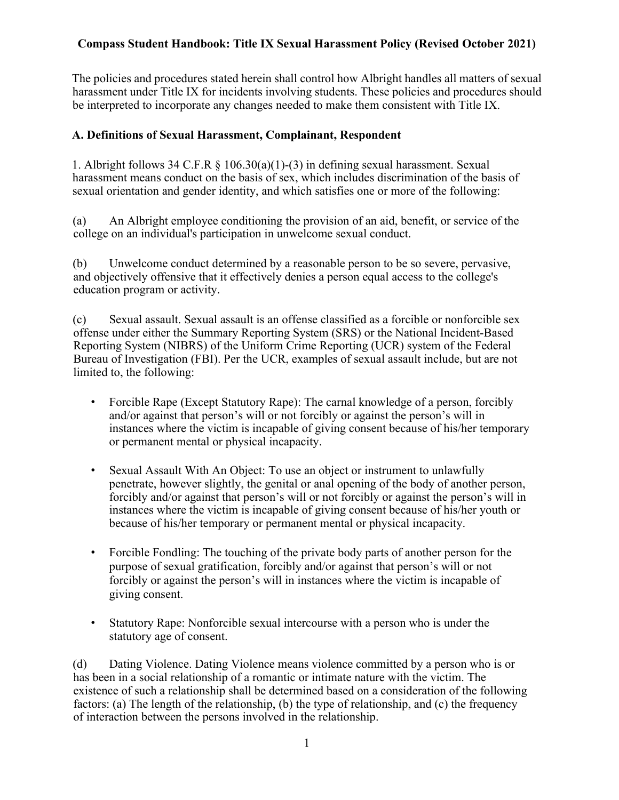The policies and procedures stated herein shall control how Albright handles all matters of sexual harassment under Title IX for incidents involving students. These policies and procedures should be interpreted to incorporate any changes needed to make them consistent with Title IX.

#### **A. Definitions of Sexual Harassment, Complainant, Respondent**

1. Albright follows 34 C.F.R § 106.30(a)(1)-(3) in defining sexual harassment. Sexual harassment means conduct on the basis of sex, which includes discrimination of the basis of sexual orientation and gender identity, and which satisfies one or more of the following:

(a) An Albright employee conditioning the provision of an aid, benefit, or service of the college on an individual's participation in unwelcome sexual conduct.

(b) Unwelcome conduct determined by a reasonable person to be so severe, pervasive, and objectively offensive that it effectively denies a person equal access to the college's education program or activity.

(c) Sexual assault. Sexual assault is an offense classified as a forcible or nonforcible sex offense under either the Summary Reporting System (SRS) or the National Incident-Based Reporting System (NIBRS) of the Uniform Crime Reporting (UCR) system of the Federal Bureau of Investigation (FBI). Per the UCR, examples of sexual assault include, but are not limited to, the following:

- Forcible Rape (Except Statutory Rape): The carnal knowledge of a person, forcibly and/or against that person's will or not forcibly or against the person's will in instances where the victim is incapable of giving consent because of his/her temporary or permanent mental or physical incapacity.
- Sexual Assault With An Object: To use an object or instrument to unlawfully penetrate, however slightly, the genital or anal opening of the body of another person, forcibly and/or against that person's will or not forcibly or against the person's will in instances where the victim is incapable of giving consent because of his/her youth or because of his/her temporary or permanent mental or physical incapacity.
- Forcible Fondling: The touching of the private body parts of another person for the purpose of sexual gratification, forcibly and/or against that person's will or not forcibly or against the person's will in instances where the victim is incapable of giving consent.
- Statutory Rape: Nonforcible sexual intercourse with a person who is under the statutory age of consent.

(d) Dating Violence. Dating Violence means violence committed by a person who is or has been in a social relationship of a romantic or intimate nature with the victim. The existence of such a relationship shall be determined based on a consideration of the following factors: (a) The length of the relationship, (b) the type of relationship, and (c) the frequency of interaction between the persons involved in the relationship.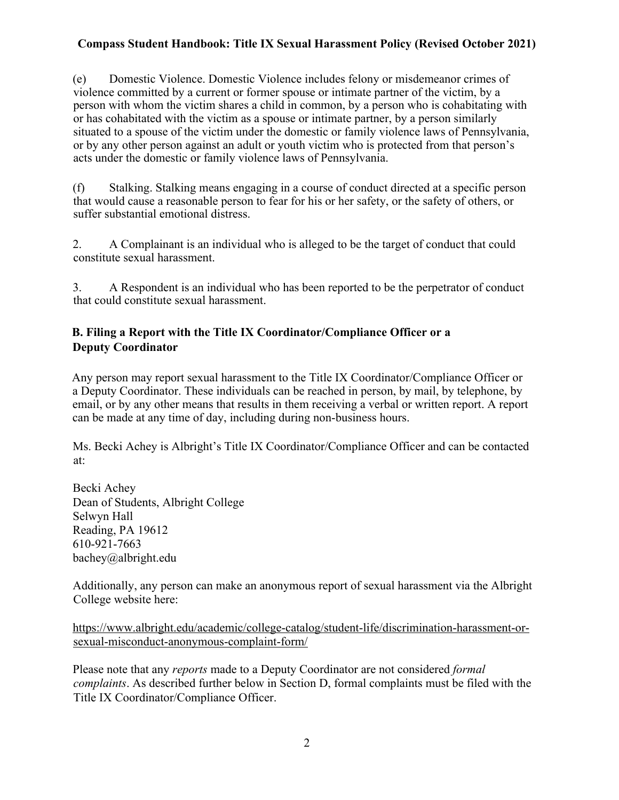(e) Domestic Violence. Domestic Violence includes felony or misdemeanor crimes of violence committed by a current or former spouse or intimate partner of the victim, by a person with whom the victim shares a child in common, by a person who is cohabitating with or has cohabitated with the victim as a spouse or intimate partner, by a person similarly situated to a spouse of the victim under the domestic or family violence laws of Pennsylvania, or by any other person against an adult or youth victim who is protected from that person's acts under the domestic or family violence laws of Pennsylvania.

(f) Stalking. Stalking means engaging in a course of conduct directed at a specific person that would cause a reasonable person to fear for his or her safety, or the safety of others, or suffer substantial emotional distress.

2. A Complainant is an individual who is alleged to be the target of conduct that could constitute sexual harassment.

3. A Respondent is an individual who has been reported to be the perpetrator of conduct that could constitute sexual harassment.

## **B. Filing a Report with the Title IX Coordinator/Compliance Officer or a Deputy Coordinator**

Any person may report sexual harassment to the Title IX Coordinator/Compliance Officer or a Deputy Coordinator. These individuals can be reached in person, by mail, by telephone, by email, or by any other means that results in them receiving a verbal or written report. A report can be made at any time of day, including during non-business hours.

Ms. Becki Achey is Albright's Title IX Coordinator/Compliance Officer and can be contacted at:

Becki Achey Dean of Students, Albright College Selwyn Hall Reading, PA 19612 610-921-7663 bachey@albright.edu

Additionally, any person can make an anonymous report of sexual harassment via the Albright College website here:

https://www.albright.edu/academic/college-catalog/student-life/discrimination-harassment-orsexual-misconduct-anonymous-complaint-form/

Please note that any *reports* made to a Deputy Coordinator are not considered *formal complaints*. As described further below in Section D, formal complaints must be filed with the Title IX Coordinator/Compliance Officer.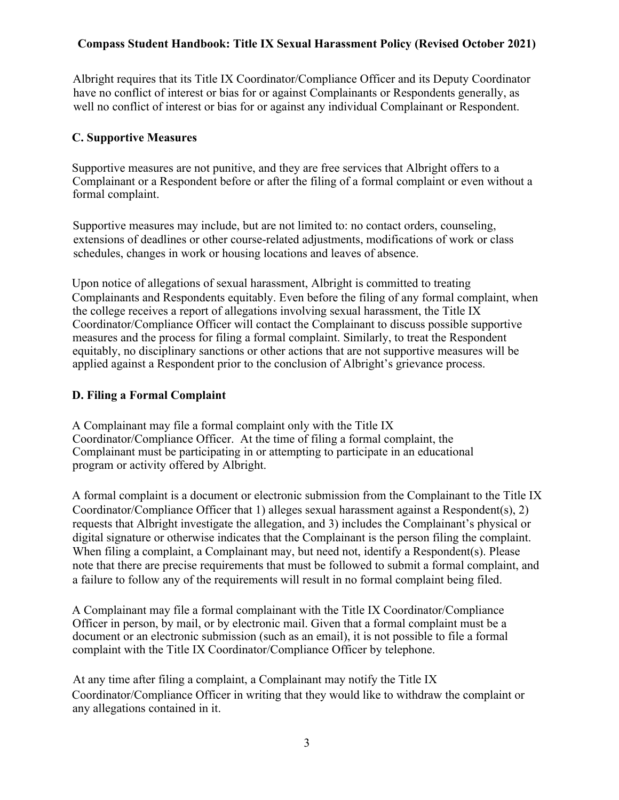Albright requires that its Title IX Coordinator/Compliance Officer and its Deputy Coordinator have no conflict of interest or bias for or against Complainants or Respondents generally, as well no conflict of interest or bias for or against any individual Complainant or Respondent.

### **C. Supportive Measures**

Supportive measures are not punitive, and they are free services that Albright offers to a Complainant or a Respondent before or after the filing of a formal complaint or even without a formal complaint.

Supportive measures may include, but are not limited to: no contact orders, counseling, extensions of deadlines or other course-related adjustments, modifications of work or class schedules, changes in work or housing locations and leaves of absence.

Upon notice of allegations of sexual harassment, Albright is committed to treating Complainants and Respondents equitably. Even before the filing of any formal complaint, when the college receives a report of allegations involving sexual harassment, the Title IX Coordinator/Compliance Officer will contact the Complainant to discuss possible supportive measures and the process for filing a formal complaint. Similarly, to treat the Respondent equitably, no disciplinary sanctions or other actions that are not supportive measures will be applied against a Respondent prior to the conclusion of Albright's grievance process.

### **D. Filing a Formal Complaint**

A Complainant may file a formal complaint only with the Title IX Coordinator/Compliance Officer. At the time of filing a formal complaint, the Complainant must be participating in or attempting to participate in an educational program or activity offered by Albright.

A formal complaint is a document or electronic submission from the Complainant to the Title IX Coordinator/Compliance Officer that 1) alleges sexual harassment against a Respondent(s), 2) requests that Albright investigate the allegation, and 3) includes the Complainant's physical or digital signature or otherwise indicates that the Complainant is the person filing the complaint. When filing a complaint, a Complainant may, but need not, identify a Respondent(s). Please note that there are precise requirements that must be followed to submit a formal complaint, and a failure to follow any of the requirements will result in no formal complaint being filed.

A Complainant may file a formal complainant with the Title IX Coordinator/Compliance Officer in person, by mail, or by electronic mail. Given that a formal complaint must be a document or an electronic submission (such as an email), it is not possible to file a formal complaint with the Title IX Coordinator/Compliance Officer by telephone.

At any time after filing a complaint, a Complainant may notify the Title IX Coordinator/Compliance Officer in writing that they would like to withdraw the complaint or any allegations contained in it.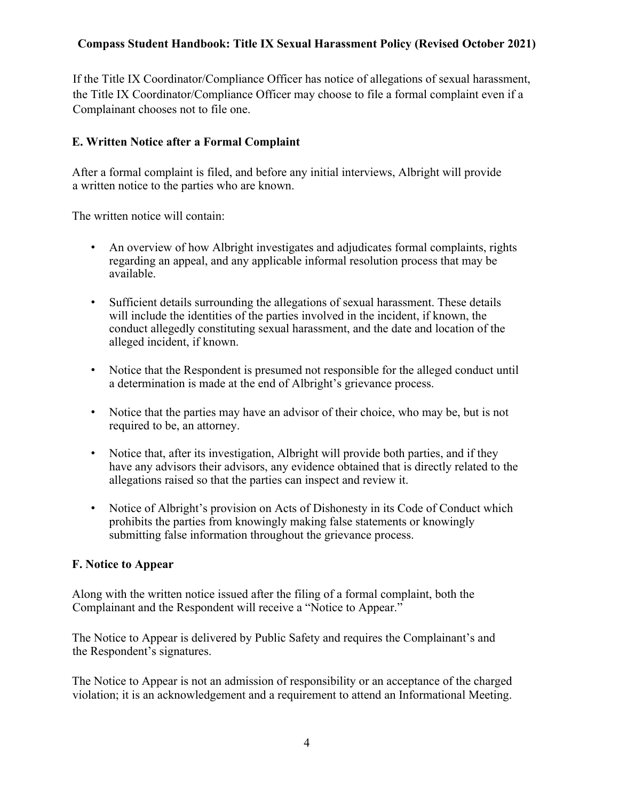If the Title IX Coordinator/Compliance Officer has notice of allegations of sexual harassment, the Title IX Coordinator/Compliance Officer may choose to file a formal complaint even if a Complainant chooses not to file one.

### **E. Written Notice after a Formal Complaint**

After a formal complaint is filed, and before any initial interviews, Albright will provide a written notice to the parties who are known.

The written notice will contain:

- An overview of how Albright investigates and adjudicates formal complaints, rights regarding an appeal, and any applicable informal resolution process that may be available.
- Sufficient details surrounding the allegations of sexual harassment. These details will include the identities of the parties involved in the incident, if known, the conduct allegedly constituting sexual harassment, and the date and location of the alleged incident, if known.
- Notice that the Respondent is presumed not responsible for the alleged conduct until a determination is made at the end of Albright's grievance process.
- Notice that the parties may have an advisor of their choice, who may be, but is not required to be, an attorney.
- Notice that, after its investigation, Albright will provide both parties, and if they have any advisors their advisors, any evidence obtained that is directly related to the allegations raised so that the parties can inspect and review it.
- Notice of Albright's provision on Acts of Dishonesty in its Code of Conduct which prohibits the parties from knowingly making false statements or knowingly submitting false information throughout the grievance process.

#### **F. Notice to Appear**

Along with the written notice issued after the filing of a formal complaint, both the Complainant and the Respondent will receive a "Notice to Appear."

The Notice to Appear is delivered by Public Safety and requires the Complainant's and the Respondent's signatures.

The Notice to Appear is not an admission of responsibility or an acceptance of the charged violation; it is an acknowledgement and a requirement to attend an Informational Meeting.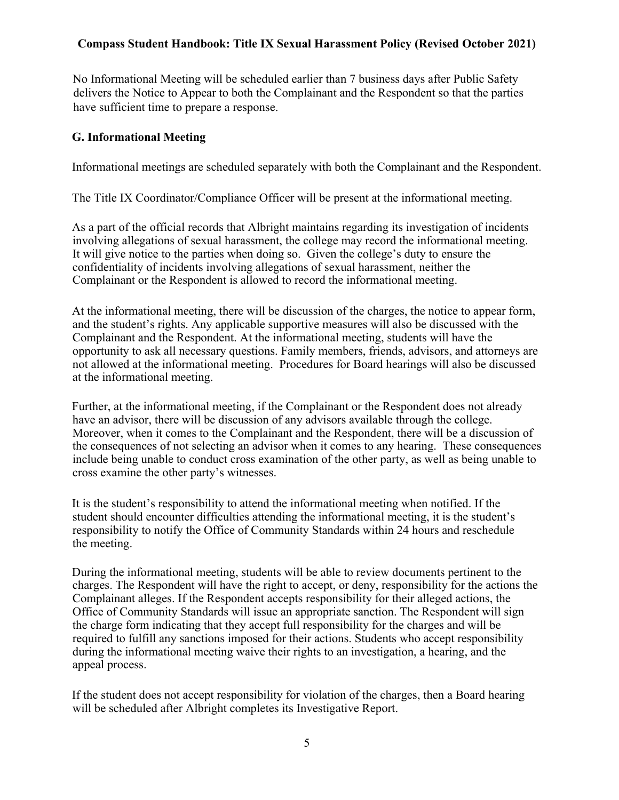No Informational Meeting will be scheduled earlier than 7 business days after Public Safety delivers the Notice to Appear to both the Complainant and the Respondent so that the parties have sufficient time to prepare a response.

### **G. Informational Meeting**

Informational meetings are scheduled separately with both the Complainant and the Respondent.

The Title IX Coordinator/Compliance Officer will be present at the informational meeting.

As a part of the official records that Albright maintains regarding its investigation of incidents involving allegations of sexual harassment, the college may record the informational meeting. It will give notice to the parties when doing so. Given the college's duty to ensure the confidentiality of incidents involving allegations of sexual harassment, neither the Complainant or the Respondent is allowed to record the informational meeting.

At the informational meeting, there will be discussion of the charges, the notice to appear form, and the student's rights. Any applicable supportive measures will also be discussed with the Complainant and the Respondent. At the informational meeting, students will have the opportunity to ask all necessary questions. Family members, friends, advisors, and attorneys are not allowed at the informational meeting. Procedures for Board hearings will also be discussed at the informational meeting.

Further, at the informational meeting, if the Complainant or the Respondent does not already have an advisor, there will be discussion of any advisors available through the college. Moreover, when it comes to the Complainant and the Respondent, there will be a discussion of the consequences of not selecting an advisor when it comes to any hearing. These consequences include being unable to conduct cross examination of the other party, as well as being unable to cross examine the other party's witnesses.

It is the student's responsibility to attend the informational meeting when notified. If the student should encounter difficulties attending the informational meeting, it is the student's responsibility to notify the Office of Community Standards within 24 hours and reschedule the meeting.

During the informational meeting, students will be able to review documents pertinent to the charges. The Respondent will have the right to accept, or deny, responsibility for the actions the Complainant alleges. If the Respondent accepts responsibility for their alleged actions, the Office of Community Standards will issue an appropriate sanction. The Respondent will sign the charge form indicating that they accept full responsibility for the charges and will be required to fulfill any sanctions imposed for their actions. Students who accept responsibility during the informational meeting waive their rights to an investigation, a hearing, and the appeal process.

If the student does not accept responsibility for violation of the charges, then a Board hearing will be scheduled after Albright completes its Investigative Report.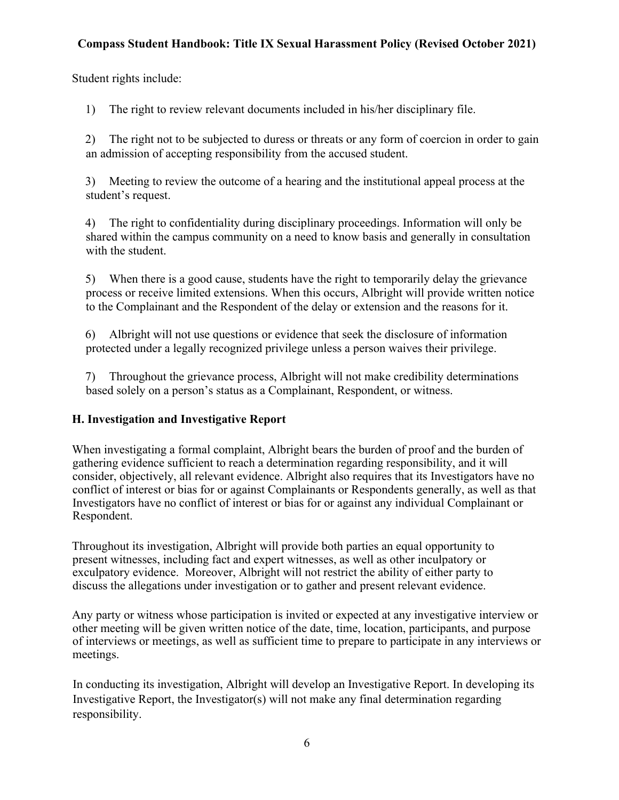Student rights include:

1) The right to review relevant documents included in his/her disciplinary file.

2) The right not to be subjected to duress or threats or any form of coercion in order to gain an admission of accepting responsibility from the accused student.

3) Meeting to review the outcome of a hearing and the institutional appeal process at the student's request.

4) The right to confidentiality during disciplinary proceedings. Information will only be shared within the campus community on a need to know basis and generally in consultation with the student.

5) When there is a good cause, students have the right to temporarily delay the grievance process or receive limited extensions. When this occurs, Albright will provide written notice to the Complainant and the Respondent of the delay or extension and the reasons for it.

6) Albright will not use questions or evidence that seek the disclosure of information protected under a legally recognized privilege unless a person waives their privilege.

7) Throughout the grievance process, Albright will not make credibility determinations based solely on a person's status as a Complainant, Respondent, or witness.

# **H. Investigation and Investigative Report**

When investigating a formal complaint, Albright bears the burden of proof and the burden of gathering evidence sufficient to reach a determination regarding responsibility, and it will consider, objectively, all relevant evidence. Albright also requires that its Investigators have no conflict of interest or bias for or against Complainants or Respondents generally, as well as that Investigators have no conflict of interest or bias for or against any individual Complainant or Respondent.

Throughout its investigation, Albright will provide both parties an equal opportunity to present witnesses, including fact and expert witnesses, as well as other inculpatory or exculpatory evidence. Moreover, Albright will not restrict the ability of either party to discuss the allegations under investigation or to gather and present relevant evidence.

Any party or witness whose participation is invited or expected at any investigative interview or other meeting will be given written notice of the date, time, location, participants, and purpose of interviews or meetings, as well as sufficient time to prepare to participate in any interviews or meetings.

In conducting its investigation, Albright will develop an Investigative Report. In developing its Investigative Report, the Investigator(s) will not make any final determination regarding responsibility.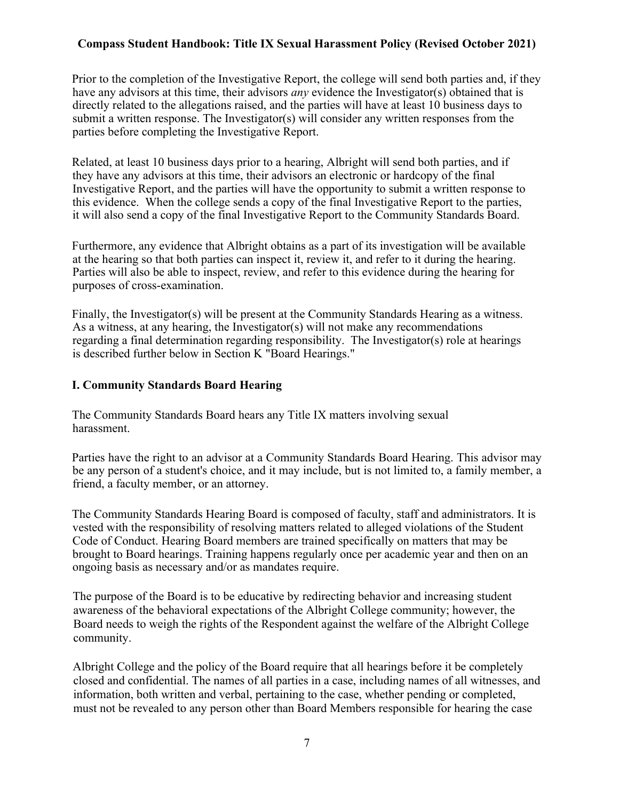Prior to the completion of the Investigative Report, the college will send both parties and, if they have any advisors at this time, their advisors *any* evidence the Investigator(s) obtained that is directly related to the allegations raised, and the parties will have at least 10 business days to submit a written response. The Investigator(s) will consider any written responses from the parties before completing the Investigative Report.

Related, at least 10 business days prior to a hearing, Albright will send both parties, and if they have any advisors at this time, their advisors an electronic or hardcopy of the final Investigative Report, and the parties will have the opportunity to submit a written response to this evidence. When the college sends a copy of the final Investigative Report to the parties, it will also send a copy of the final Investigative Report to the Community Standards Board.

Furthermore, any evidence that Albright obtains as a part of its investigation will be available at the hearing so that both parties can inspect it, review it, and refer to it during the hearing. Parties will also be able to inspect, review, and refer to this evidence during the hearing for purposes of cross-examination.

Finally, the Investigator(s) will be present at the Community Standards Hearing as a witness. As a witness, at any hearing, the Investigator(s) will not make any recommendations regarding a final determination regarding responsibility. The Investigator(s) role at hearings is described further below in Section K "Board Hearings."

#### **I. Community Standards Board Hearing**

The Community Standards Board hears any Title IX matters involving sexual harassment.

Parties have the right to an advisor at a Community Standards Board Hearing. This advisor may be any person of a student's choice, and it may include, but is not limited to, a family member, a friend, a faculty member, or an attorney.

The Community Standards Hearing Board is composed of faculty, staff and administrators. It is vested with the responsibility of resolving matters related to alleged violations of the Student Code of Conduct. Hearing Board members are trained specifically on matters that may be brought to Board hearings. Training happens regularly once per academic year and then on an ongoing basis as necessary and/or as mandates require.

The purpose of the Board is to be educative by redirecting behavior and increasing student awareness of the behavioral expectations of the Albright College community; however, the Board needs to weigh the rights of the Respondent against the welfare of the Albright College community.

Albright College and the policy of the Board require that all hearings before it be completely closed and confidential. The names of all parties in a case, including names of all witnesses, and information, both written and verbal, pertaining to the case, whether pending or completed, must not be revealed to any person other than Board Members responsible for hearing the case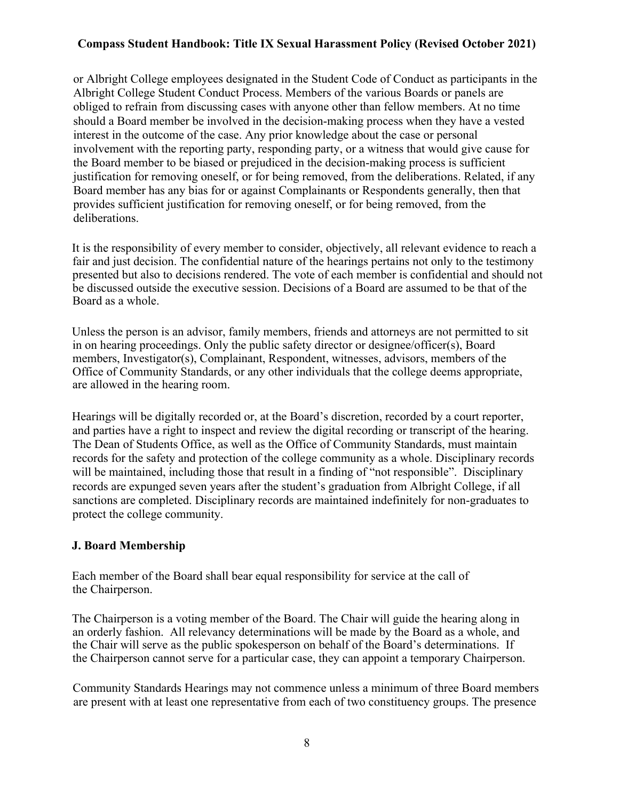or Albright College employees designated in the Student Code of Conduct as participants in the Albright College Student Conduct Process. Members of the various Boards or panels are obliged to refrain from discussing cases with anyone other than fellow members. At no time should a Board member be involved in the decision-making process when they have a vested interest in the outcome of the case. Any prior knowledge about the case or personal involvement with the reporting party, responding party, or a witness that would give cause for the Board member to be biased or prejudiced in the decision-making process is sufficient justification for removing oneself, or for being removed, from the deliberations. Related, if any Board member has any bias for or against Complainants or Respondents generally, then that provides sufficient justification for removing oneself, or for being removed, from the deliberations.

It is the responsibility of every member to consider, objectively, all relevant evidence to reach a fair and just decision. The confidential nature of the hearings pertains not only to the testimony presented but also to decisions rendered. The vote of each member is confidential and should not be discussed outside the executive session. Decisions of a Board are assumed to be that of the Board as a whole.

Unless the person is an advisor, family members, friends and attorneys are not permitted to sit in on hearing proceedings. Only the public safety director or designee/officer(s), Board members, Investigator(s), Complainant, Respondent, witnesses, advisors, members of the Office of Community Standards, or any other individuals that the college deems appropriate, are allowed in the hearing room.

Hearings will be digitally recorded or, at the Board's discretion, recorded by a court reporter, and parties have a right to inspect and review the digital recording or transcript of the hearing. The Dean of Students Office, as well as the Office of Community Standards, must maintain records for the safety and protection of the college community as a whole. Disciplinary records will be maintained, including those that result in a finding of "not responsible". Disciplinary records are expunged seven years after the student's graduation from Albright College, if all sanctions are completed. Disciplinary records are maintained indefinitely for non-graduates to protect the college community.

#### **J. Board Membership**

Each member of the Board shall bear equal responsibility for service at the call of the Chairperson.

The Chairperson is a voting member of the Board. The Chair will guide the hearing along in an orderly fashion. All relevancy determinations will be made by the Board as a whole, and the Chair will serve as the public spokesperson on behalf of the Board's determinations. If the Chairperson cannot serve for a particular case, they can appoint a temporary Chairperson.

Community Standards Hearings may not commence unless a minimum of three Board members are present with at least one representative from each of two constituency groups. The presence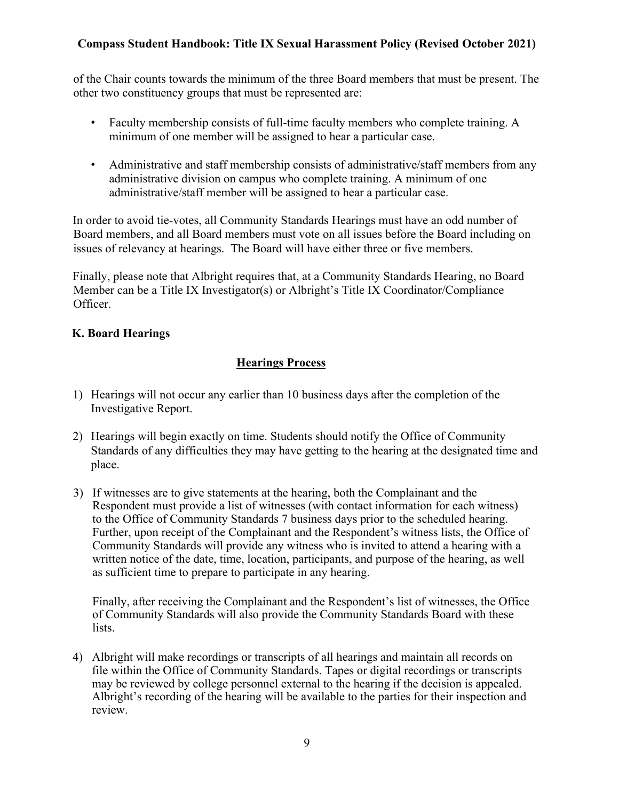of the Chair counts towards the minimum of the three Board members that must be present. The other two constituency groups that must be represented are:

- Faculty membership consists of full-time faculty members who complete training. A minimum of one member will be assigned to hear a particular case.
- Administrative and staff membership consists of administrative/staff members from any administrative division on campus who complete training. A minimum of one administrative/staff member will be assigned to hear a particular case.

In order to avoid tie-votes, all Community Standards Hearings must have an odd number of Board members, and all Board members must vote on all issues before the Board including on issues of relevancy at hearings. The Board will have either three or five members.

Finally, please note that Albright requires that, at a Community Standards Hearing, no Board Member can be a Title IX Investigator(s) or Albright's Title IX Coordinator/Compliance Officer.

## **K. Board Hearings**

# **Hearings Process**

- 1) Hearings will not occur any earlier than 10 business days after the completion of the Investigative Report.
- 2) Hearings will begin exactly on time. Students should notify the Office of Community Standards of any difficulties they may have getting to the hearing at the designated time and place.
- 3) If witnesses are to give statements at the hearing, both the Complainant and the Respondent must provide a list of witnesses (with contact information for each witness) to the Office of Community Standards 7 business days prior to the scheduled hearing. Further, upon receipt of the Complainant and the Respondent's witness lists, the Office of Community Standards will provide any witness who is invited to attend a hearing with a written notice of the date, time, location, participants, and purpose of the hearing, as well as sufficient time to prepare to participate in any hearing.

Finally, after receiving the Complainant and the Respondent's list of witnesses, the Office of Community Standards will also provide the Community Standards Board with these lists.

4) Albright will make recordings or transcripts of all hearings and maintain all records on file within the Office of Community Standards. Tapes or digital recordings or transcripts may be reviewed by college personnel external to the hearing if the decision is appealed. Albright's recording of the hearing will be available to the parties for their inspection and review.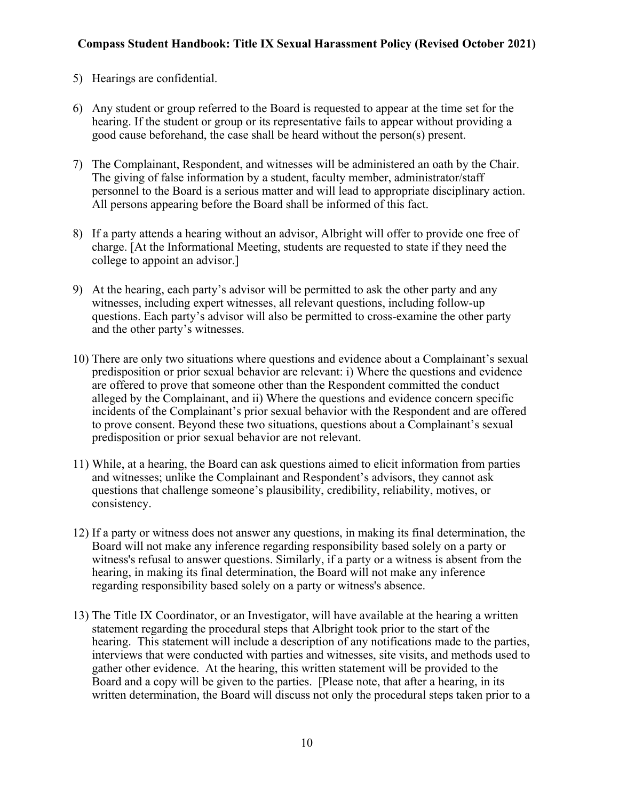- 5) Hearings are confidential.
- 6) Any student or group referred to the Board is requested to appear at the time set for the hearing. If the student or group or its representative fails to appear without providing a good cause beforehand, the case shall be heard without the person(s) present.
- 7) The Complainant, Respondent, and witnesses will be administered an oath by the Chair. The giving of false information by a student, faculty member, administrator/staff personnel to the Board is a serious matter and will lead to appropriate disciplinary action. All persons appearing before the Board shall be informed of this fact.
- 8) If a party attends a hearing without an advisor, Albright will offer to provide one free of charge. [At the Informational Meeting, students are requested to state if they need the college to appoint an advisor.]
- 9) At the hearing, each party's advisor will be permitted to ask the other party and any witnesses, including expert witnesses, all relevant questions, including follow-up questions. Each party's advisor will also be permitted to cross-examine the other party and the other party's witnesses.
- 10) There are only two situations where questions and evidence about a Complainant's sexual predisposition or prior sexual behavior are relevant: i) Where the questions and evidence are offered to prove that someone other than the Respondent committed the conduct alleged by the Complainant, and ii) Where the questions and evidence concern specific incidents of the Complainant's prior sexual behavior with the Respondent and are offered to prove consent. Beyond these two situations, questions about a Complainant's sexual predisposition or prior sexual behavior are not relevant.
- 11) While, at a hearing, the Board can ask questions aimed to elicit information from parties and witnesses; unlike the Complainant and Respondent's advisors, they cannot ask questions that challenge someone's plausibility, credibility, reliability, motives, or consistency.
- 12) If a party or witness does not answer any questions, in making its final determination, the Board will not make any inference regarding responsibility based solely on a party or witness's refusal to answer questions. Similarly, if a party or a witness is absent from the hearing, in making its final determination, the Board will not make any inference regarding responsibility based solely on a party or witness's absence.
- 13) The Title IX Coordinator, or an Investigator, will have available at the hearing a written statement regarding the procedural steps that Albright took prior to the start of the hearing. This statement will include a description of any notifications made to the parties, interviews that were conducted with parties and witnesses, site visits, and methods used to gather other evidence. At the hearing, this written statement will be provided to the Board and a copy will be given to the parties. [Please note, that after a hearing, in its written determination, the Board will discuss not only the procedural steps taken prior to a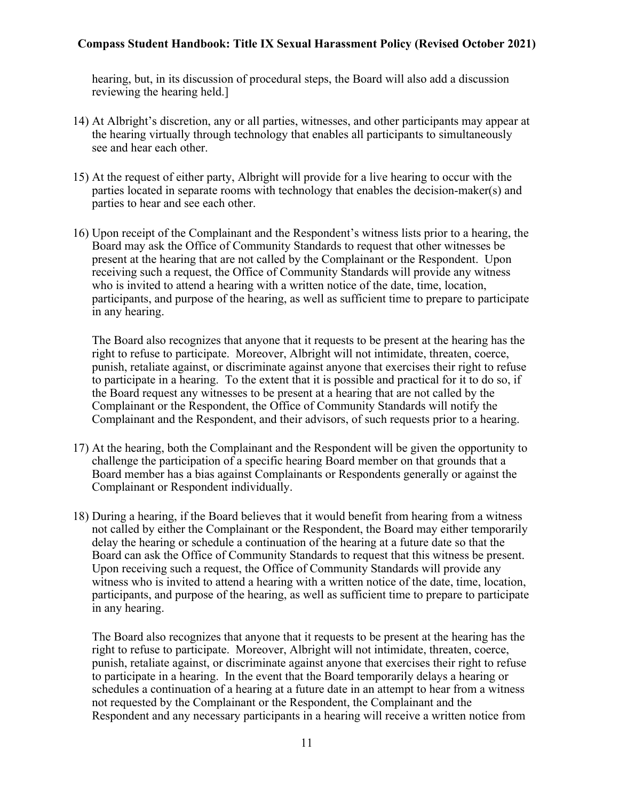hearing, but, in its discussion of procedural steps, the Board will also add a discussion reviewing the hearing held.]

- 14) At Albright's discretion, any or all parties, witnesses, and other participants may appear at the hearing virtually through technology that enables all participants to simultaneously see and hear each other.
- 15) At the request of either party, Albright will provide for a live hearing to occur with the parties located in separate rooms with technology that enables the decision-maker(s) and parties to hear and see each other.
- 16) Upon receipt of the Complainant and the Respondent's witness lists prior to a hearing, the Board may ask the Office of Community Standards to request that other witnesses be present at the hearing that are not called by the Complainant or the Respondent. Upon receiving such a request, the Office of Community Standards will provide any witness who is invited to attend a hearing with a written notice of the date, time, location, participants, and purpose of the hearing, as well as sufficient time to prepare to participate in any hearing.

The Board also recognizes that anyone that it requests to be present at the hearing has the right to refuse to participate. Moreover, Albright will not intimidate, threaten, coerce, punish, retaliate against, or discriminate against anyone that exercises their right to refuse to participate in a hearing. To the extent that it is possible and practical for it to do so, if the Board request any witnesses to be present at a hearing that are not called by the Complainant or the Respondent, the Office of Community Standards will notify the Complainant and the Respondent, and their advisors, of such requests prior to a hearing.

- 17) At the hearing, both the Complainant and the Respondent will be given the opportunity to challenge the participation of a specific hearing Board member on that grounds that a Board member has a bias against Complainants or Respondents generally or against the Complainant or Respondent individually.
- 18) During a hearing, if the Board believes that it would benefit from hearing from a witness not called by either the Complainant or the Respondent, the Board may either temporarily delay the hearing or schedule a continuation of the hearing at a future date so that the Board can ask the Office of Community Standards to request that this witness be present. Upon receiving such a request, the Office of Community Standards will provide any witness who is invited to attend a hearing with a written notice of the date, time, location, participants, and purpose of the hearing, as well as sufficient time to prepare to participate in any hearing.

The Board also recognizes that anyone that it requests to be present at the hearing has the right to refuse to participate. Moreover, Albright will not intimidate, threaten, coerce, punish, retaliate against, or discriminate against anyone that exercises their right to refuse to participate in a hearing. In the event that the Board temporarily delays a hearing or schedules a continuation of a hearing at a future date in an attempt to hear from a witness not requested by the Complainant or the Respondent, the Complainant and the Respondent and any necessary participants in a hearing will receive a written notice from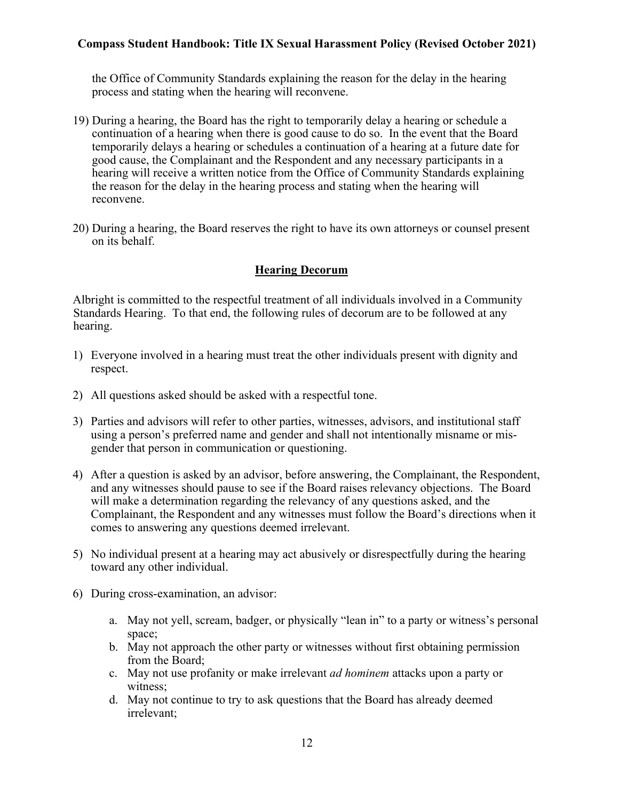the Office of Community Standards explaining the reason for the delay in the hearing process and stating when the hearing will reconvene.

- 19) During a hearing, the Board has the right to temporarily delay a hearing or schedule a continuation of a hearing when there is good cause to do so. In the event that the Board temporarily delays a hearing or schedules a continuation of a hearing at a future date for good cause, the Complainant and the Respondent and any necessary participants in a hearing will receive a written notice from the Office of Community Standards explaining the reason for the delay in the hearing process and stating when the hearing will reconvene.
- 20) During a hearing, the Board reserves the right to have its own attorneys or counsel present on its behalf.

#### **Hearing Decorum**

Albright is committed to the respectful treatment of all individuals involved in a Community Standards Hearing. To that end, the following rules of decorum are to be followed at any hearing.

- 1) Everyone involved in a hearing must treat the other individuals present with dignity and respect.
- 2) All questions asked should be asked with a respectful tone.
- 3) Parties and advisors will refer to other parties, witnesses, advisors, and institutional staff using a person's preferred name and gender and shall not intentionally misname or misgender that person in communication or questioning.
- 4) After a question is asked by an advisor, before answering, the Complainant, the Respondent, and any witnesses should pause to see if the Board raises relevancy objections. The Board will make a determination regarding the relevancy of any questions asked, and the Complainant, the Respondent and any witnesses must follow the Board's directions when it comes to answering any questions deemed irrelevant.
- 5) No individual present at a hearing may act abusively or disrespectfully during the hearing toward any other individual.
- 6) During cross-examination, an advisor:
	- a. May not yell, scream, badger, or physically "lean in" to a party or witness's personal space;
	- b. May not approach the other party or witnesses without first obtaining permission from the Board;
	- c. May not use profanity or make irrelevant *ad hominem* attacks upon a party or witness;
	- d. May not continue to try to ask questions that the Board has already deemed irrelevant;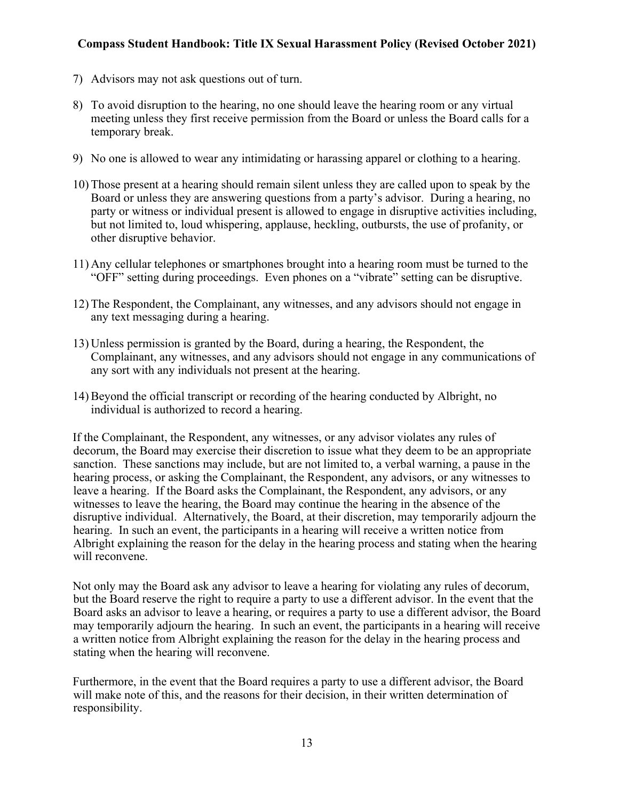- 7) Advisors may not ask questions out of turn.
- 8) To avoid disruption to the hearing, no one should leave the hearing room or any virtual meeting unless they first receive permission from the Board or unless the Board calls for a temporary break.
- 9) No one is allowed to wear any intimidating or harassing apparel or clothing to a hearing.
- 10) Those present at a hearing should remain silent unless they are called upon to speak by the Board or unless they are answering questions from a party's advisor. During a hearing, no party or witness or individual present is allowed to engage in disruptive activities including, but not limited to, loud whispering, applause, heckling, outbursts, the use of profanity, or other disruptive behavior.
- 11) Any cellular telephones or smartphones brought into a hearing room must be turned to the "OFF" setting during proceedings. Even phones on a "vibrate" setting can be disruptive.
- 12) The Respondent, the Complainant, any witnesses, and any advisors should not engage in any text messaging during a hearing.
- 13) Unless permission is granted by the Board, during a hearing, the Respondent, the Complainant, any witnesses, and any advisors should not engage in any communications of any sort with any individuals not present at the hearing.
- 14) Beyond the official transcript or recording of the hearing conducted by Albright, no individual is authorized to record a hearing.

If the Complainant, the Respondent, any witnesses, or any advisor violates any rules of decorum, the Board may exercise their discretion to issue what they deem to be an appropriate sanction. These sanctions may include, but are not limited to, a verbal warning, a pause in the hearing process, or asking the Complainant, the Respondent, any advisors, or any witnesses to leave a hearing. If the Board asks the Complainant, the Respondent, any advisors, or any witnesses to leave the hearing, the Board may continue the hearing in the absence of the disruptive individual. Alternatively, the Board, at their discretion, may temporarily adjourn the hearing. In such an event, the participants in a hearing will receive a written notice from Albright explaining the reason for the delay in the hearing process and stating when the hearing will reconvene.

Not only may the Board ask any advisor to leave a hearing for violating any rules of decorum, but the Board reserve the right to require a party to use a different advisor. In the event that the Board asks an advisor to leave a hearing, or requires a party to use a different advisor, the Board may temporarily adjourn the hearing. In such an event, the participants in a hearing will receive a written notice from Albright explaining the reason for the delay in the hearing process and stating when the hearing will reconvene.

Furthermore, in the event that the Board requires a party to use a different advisor, the Board will make note of this, and the reasons for their decision, in their written determination of responsibility.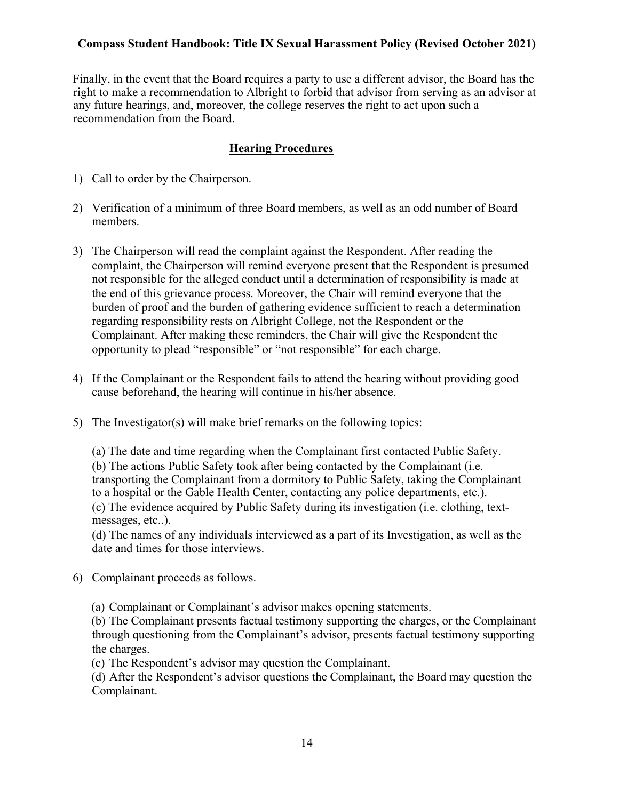Finally, in the event that the Board requires a party to use a different advisor, the Board has the right to make a recommendation to Albright to forbid that advisor from serving as an advisor at any future hearings, and, moreover, the college reserves the right to act upon such a recommendation from the Board.

### **Hearing Procedures**

- 1) Call to order by the Chairperson.
- 2) Verification of a minimum of three Board members, as well as an odd number of Board members.
- 3) The Chairperson will read the complaint against the Respondent. After reading the complaint, the Chairperson will remind everyone present that the Respondent is presumed not responsible for the alleged conduct until a determination of responsibility is made at the end of this grievance process. Moreover, the Chair will remind everyone that the burden of proof and the burden of gathering evidence sufficient to reach a determination regarding responsibility rests on Albright College, not the Respondent or the Complainant. After making these reminders, the Chair will give the Respondent the opportunity to plead "responsible" or "not responsible" for each charge.
- 4) If the Complainant or the Respondent fails to attend the hearing without providing good cause beforehand, the hearing will continue in his/her absence.
- 5) The Investigator(s) will make brief remarks on the following topics:

(a) The date and time regarding when the Complainant first contacted Public Safety. (b) The actions Public Safety took after being contacted by the Complainant (i.e. transporting the Complainant from a dormitory to Public Safety, taking the Complainant to a hospital or the Gable Health Center, contacting any police departments, etc.). (c) The evidence acquired by Public Safety during its investigation (i.e. clothing, textmessages, etc..).

(d) The names of any individuals interviewed as a part of its Investigation, as well as the date and times for those interviews.

6) Complainant proceeds as follows.

(a) Complainant or Complainant's advisor makes opening statements.

(b) The Complainant presents factual testimony supporting the charges, or the Complainant through questioning from the Complainant's advisor, presents factual testimony supporting the charges.

(c) The Respondent's advisor may question the Complainant.

(d) After the Respondent's advisor questions the Complainant, the Board may question the Complainant.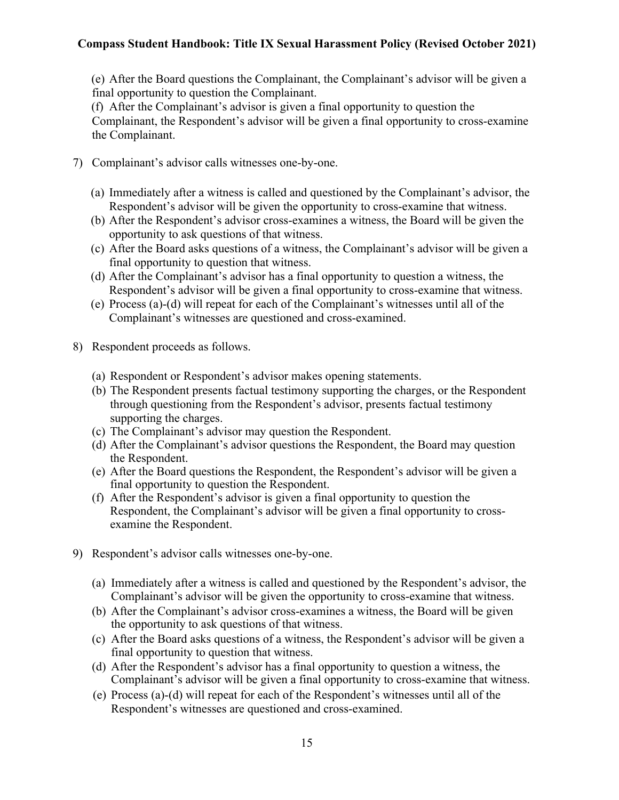(e) After the Board questions the Complainant, the Complainant's advisor will be given a final opportunity to question the Complainant.

(f) After the Complainant's advisor is given a final opportunity to question the Complainant, the Respondent's advisor will be given a final opportunity to cross-examine the Complainant.

- 7) Complainant's advisor calls witnesses one-by-one.
	- (a) Immediately after a witness is called and questioned by the Complainant's advisor, the Respondent's advisor will be given the opportunity to cross-examine that witness.
	- (b) After the Respondent's advisor cross-examines a witness, the Board will be given the opportunity to ask questions of that witness.
	- (c) After the Board asks questions of a witness, the Complainant's advisor will be given a final opportunity to question that witness.
	- (d) After the Complainant's advisor has a final opportunity to question a witness, the Respondent's advisor will be given a final opportunity to cross-examine that witness.
	- (e) Process (a)-(d) will repeat for each of the Complainant's witnesses until all of the Complainant's witnesses are questioned and cross-examined.
- 8) Respondent proceeds as follows.
	- (a) Respondent or Respondent's advisor makes opening statements.
	- (b) The Respondent presents factual testimony supporting the charges, or the Respondent through questioning from the Respondent's advisor, presents factual testimony supporting the charges.
	- (c) The Complainant's advisor may question the Respondent.
	- (d) After the Complainant's advisor questions the Respondent, the Board may question the Respondent.
	- (e) After the Board questions the Respondent, the Respondent's advisor will be given a final opportunity to question the Respondent.
	- (f) After the Respondent's advisor is given a final opportunity to question the Respondent, the Complainant's advisor will be given a final opportunity to crossexamine the Respondent.
- 9) Respondent's advisor calls witnesses one-by-one.
	- (a) Immediately after a witness is called and questioned by the Respondent's advisor, the Complainant's advisor will be given the opportunity to cross-examine that witness.
	- (b) After the Complainant's advisor cross-examines a witness, the Board will be given the opportunity to ask questions of that witness.
	- (c) After the Board asks questions of a witness, the Respondent's advisor will be given a final opportunity to question that witness.
	- (d) After the Respondent's advisor has a final opportunity to question a witness, the Complainant's advisor will be given a final opportunity to cross-examine that witness.
	- (e) Process (a)-(d) will repeat for each of the Respondent's witnesses until all of the Respondent's witnesses are questioned and cross-examined.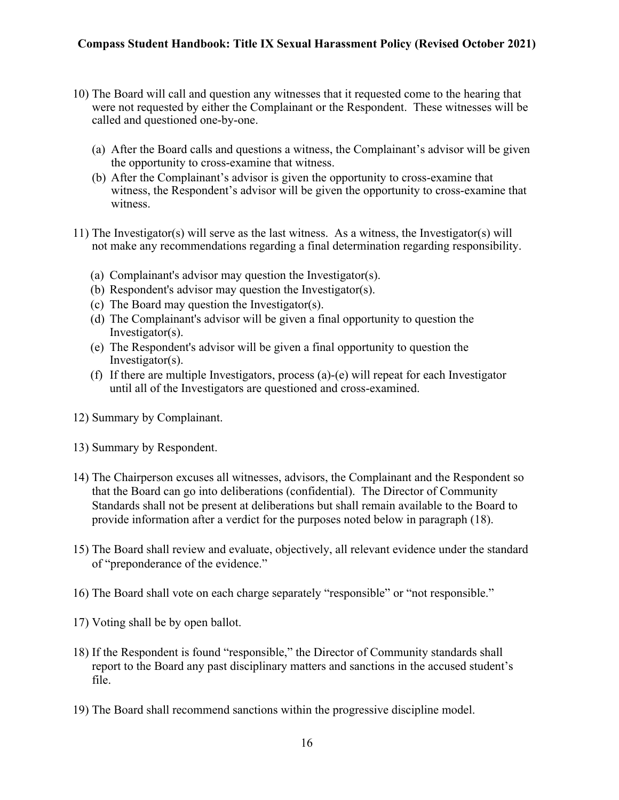- 10) The Board will call and question any witnesses that it requested come to the hearing that were not requested by either the Complainant or the Respondent. These witnesses will be called and questioned one-by-one.
	- (a) After the Board calls and questions a witness, the Complainant's advisor will be given the opportunity to cross-examine that witness.
	- (b) After the Complainant's advisor is given the opportunity to cross-examine that witness, the Respondent's advisor will be given the opportunity to cross-examine that witness.
- 11) The Investigator(s) will serve as the last witness. As a witness, the Investigator(s) will not make any recommendations regarding a final determination regarding responsibility.
	- (a) Complainant's advisor may question the Investigator(s).
	- (b) Respondent's advisor may question the Investigator(s).
	- (c) The Board may question the Investigator(s).
	- (d) The Complainant's advisor will be given a final opportunity to question the Investigator(s).
	- (e) The Respondent's advisor will be given a final opportunity to question the Investigator(s).
	- (f) If there are multiple Investigators, process (a)-(e) will repeat for each Investigator until all of the Investigators are questioned and cross-examined.
- 12) Summary by Complainant.
- 13) Summary by Respondent.
- 14) The Chairperson excuses all witnesses, advisors, the Complainant and the Respondent so that the Board can go into deliberations (confidential). The Director of Community Standards shall not be present at deliberations but shall remain available to the Board to provide information after a verdict for the purposes noted below in paragraph (18).
- 15) The Board shall review and evaluate, objectively, all relevant evidence under the standard of "preponderance of the evidence."
- 16) The Board shall vote on each charge separately "responsible" or "not responsible."
- 17) Voting shall be by open ballot.
- 18) If the Respondent is found "responsible," the Director of Community standards shall report to the Board any past disciplinary matters and sanctions in the accused student's file.
- 19) The Board shall recommend sanctions within the progressive discipline model.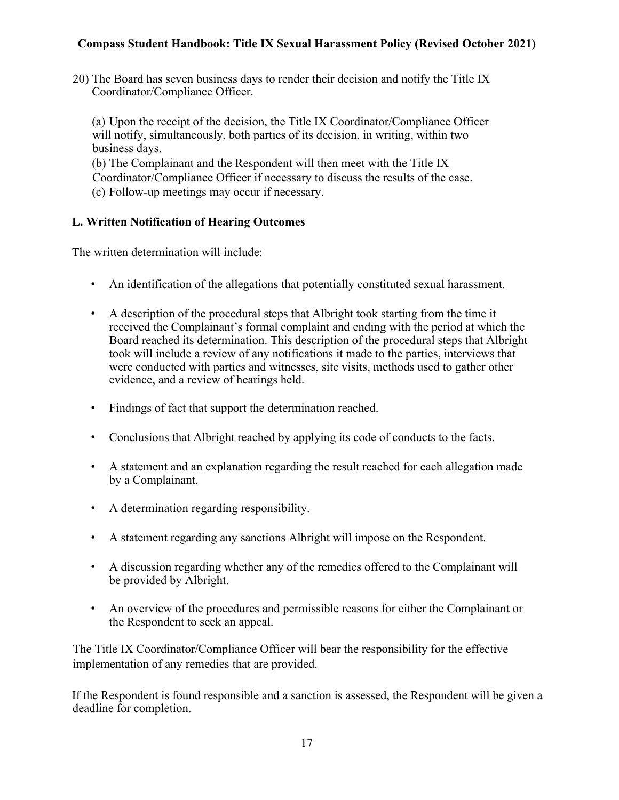20) The Board has seven business days to render their decision and notify the Title IX Coordinator/Compliance Officer.

(a) Upon the receipt of the decision, the Title IX Coordinator/Compliance Officer will notify, simultaneously, both parties of its decision, in writing, within two business days.

(b) The Complainant and the Respondent will then meet with the Title IX Coordinator/Compliance Officer if necessary to discuss the results of the case. (c) Follow-up meetings may occur if necessary.

# **L. Written Notification of Hearing Outcomes**

The written determination will include:

- An identification of the allegations that potentially constituted sexual harassment.
- A description of the procedural steps that Albright took starting from the time it received the Complainant's formal complaint and ending with the period at which the Board reached its determination. This description of the procedural steps that Albright took will include a review of any notifications it made to the parties, interviews that were conducted with parties and witnesses, site visits, methods used to gather other evidence, and a review of hearings held.
- Findings of fact that support the determination reached.
- Conclusions that Albright reached by applying its code of conducts to the facts.
- A statement and an explanation regarding the result reached for each allegation made by a Complainant.
- A determination regarding responsibility.
- A statement regarding any sanctions Albright will impose on the Respondent.
- A discussion regarding whether any of the remedies offered to the Complainant will be provided by Albright.
- An overview of the procedures and permissible reasons for either the Complainant or the Respondent to seek an appeal.

The Title IX Coordinator/Compliance Officer will bear the responsibility for the effective implementation of any remedies that are provided.

If the Respondent is found responsible and a sanction is assessed, the Respondent will be given a deadline for completion.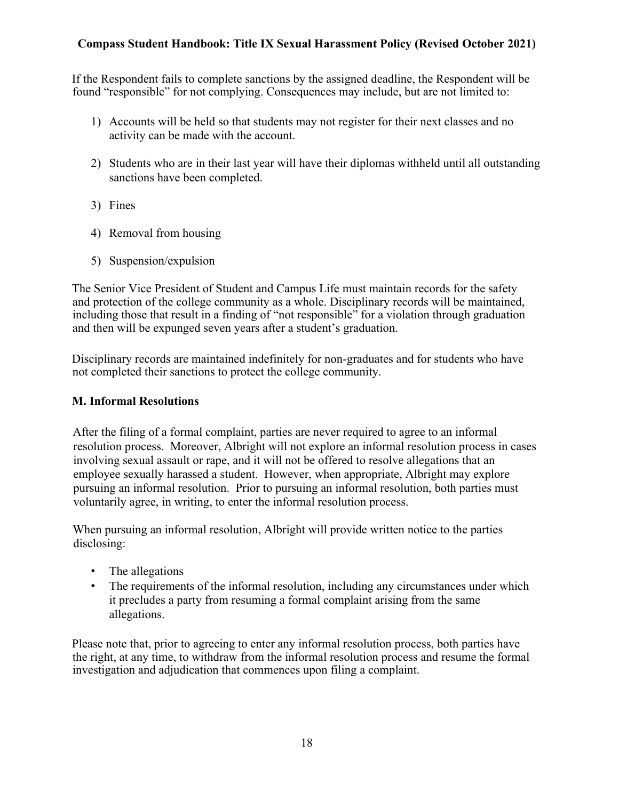If the Respondent fails to complete sanctions by the assigned deadline, the Respondent will be found "responsible" for not complying. Consequences may include, but are not limited to:

- 1) Accounts will be held so that students may not register for their next classes and no activity can be made with the account.
- 2) Students who are in their last year will have their diplomas withheld until all outstanding sanctions have been completed.
- 3) Fines
- 4) Removal from housing
- 5) Suspension/expulsion

The Senior Vice President of Student and Campus Life must maintain records for the safety and protection of the college community as a whole. Disciplinary records will be maintained, including those that result in a finding of "not responsible" for a violation through graduation and then will be expunged seven years after a student's graduation.

Disciplinary records are maintained indefinitely for non-graduates and for students who have not completed their sanctions to protect the college community.

#### **M. Informal Resolutions**

After the filing of a formal complaint, parties are never required to agree to an informal resolution process. Moreover, Albright will not explore an informal resolution process in cases involving sexual assault or rape, and it will not be offered to resolve allegations that an employee sexually harassed a student. However, when appropriate, Albright may explore pursuing an informal resolution. Prior to pursuing an informal resolution, both parties must voluntarily agree, in writing, to enter the informal resolution process.

When pursuing an informal resolution, Albright will provide written notice to the parties disclosing:

- The allegations
- The requirements of the informal resolution, including any circumstances under which it precludes a party from resuming a formal complaint arising from the same allegations.

Please note that, prior to agreeing to enter any informal resolution process, both parties have the right, at any time, to withdraw from the informal resolution process and resume the formal investigation and adjudication that commences upon filing a complaint.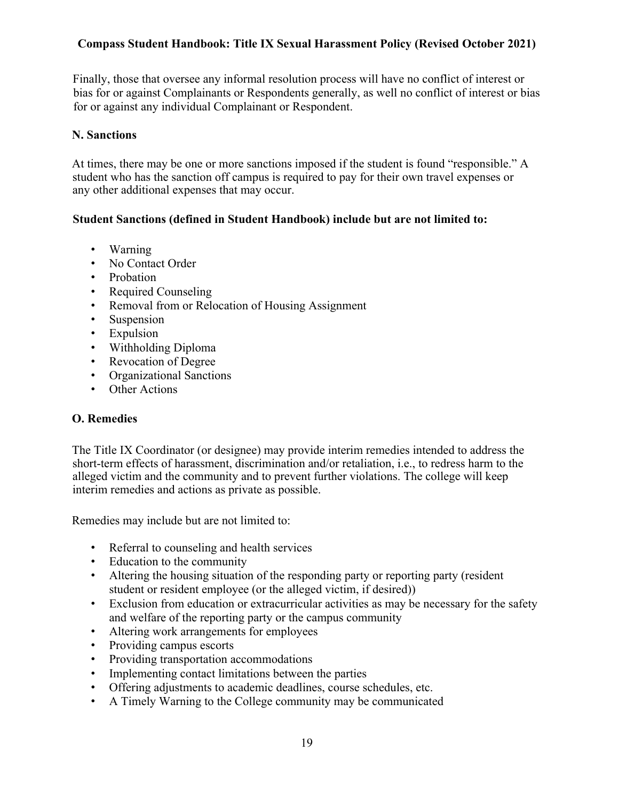Finally, those that oversee any informal resolution process will have no conflict of interest or bias for or against Complainants or Respondents generally, as well no conflict of interest or bias for or against any individual Complainant or Respondent.

#### **N. Sanctions**

At times, there may be one or more sanctions imposed if the student is found "responsible." A student who has the sanction off campus is required to pay for their own travel expenses or any other additional expenses that may occur.

#### **Student Sanctions (defined in Student Handbook) include but are not limited to:**

- Warning
- No Contact Order
- Probation
- Required Counseling
- Removal from or Relocation of Housing Assignment
- Suspension
- Expulsion
- Withholding Diploma
- Revocation of Degree
- Organizational Sanctions
- Other Actions

#### **O. Remedies**

The Title IX Coordinator (or designee) may provide interim remedies intended to address the short-term effects of harassment, discrimination and/or retaliation, i.e., to redress harm to the alleged victim and the community and to prevent further violations. The college will keep interim remedies and actions as private as possible.

Remedies may include but are not limited to:

- Referral to counseling and health services
- Education to the community
- Altering the housing situation of the responding party or reporting party (resident student or resident employee (or the alleged victim, if desired))
- Exclusion from education or extracurricular activities as may be necessary for the safety and welfare of the reporting party or the campus community
- Altering work arrangements for employees
- Providing campus escorts
- Providing transportation accommodations
- Implementing contact limitations between the parties
- Offering adjustments to academic deadlines, course schedules, etc.
- A Timely Warning to the College community may be communicated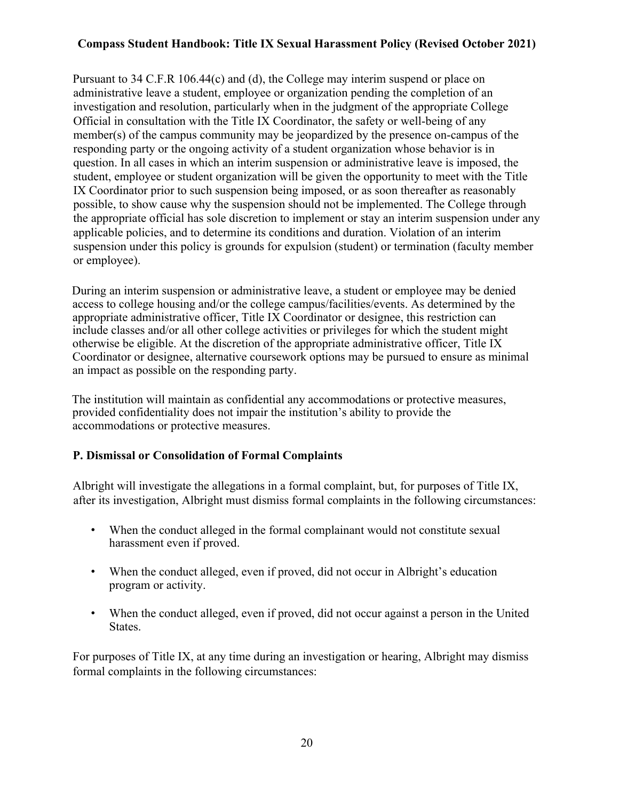Pursuant to 34 C.F.R 106.44(c) and (d), the College may interim suspend or place on administrative leave a student, employee or organization pending the completion of an investigation and resolution, particularly when in the judgment of the appropriate College Official in consultation with the Title IX Coordinator, the safety or well-being of any member(s) of the campus community may be jeopardized by the presence on-campus of the responding party or the ongoing activity of a student organization whose behavior is in question. In all cases in which an interim suspension or administrative leave is imposed, the student, employee or student organization will be given the opportunity to meet with the Title IX Coordinator prior to such suspension being imposed, or as soon thereafter as reasonably possible, to show cause why the suspension should not be implemented. The College through the appropriate official has sole discretion to implement or stay an interim suspension under any applicable policies, and to determine its conditions and duration. Violation of an interim suspension under this policy is grounds for expulsion (student) or termination (faculty member or employee).

During an interim suspension or administrative leave, a student or employee may be denied access to college housing and/or the college campus/facilities/events. As determined by the appropriate administrative officer, Title IX Coordinator or designee, this restriction can include classes and/or all other college activities or privileges for which the student might otherwise be eligible. At the discretion of the appropriate administrative officer, Title IX Coordinator or designee, alternative coursework options may be pursued to ensure as minimal an impact as possible on the responding party.

The institution will maintain as confidential any accommodations or protective measures, provided confidentiality does not impair the institution's ability to provide the accommodations or protective measures.

#### **P. Dismissal or Consolidation of Formal Complaints**

Albright will investigate the allegations in a formal complaint, but, for purposes of Title IX, after its investigation, Albright must dismiss formal complaints in the following circumstances:

- When the conduct alleged in the formal complainant would not constitute sexual harassment even if proved.
- When the conduct alleged, even if proved, did not occur in Albright's education program or activity.
- When the conduct alleged, even if proved, did not occur against a person in the United States.

For purposes of Title IX, at any time during an investigation or hearing, Albright may dismiss formal complaints in the following circumstances: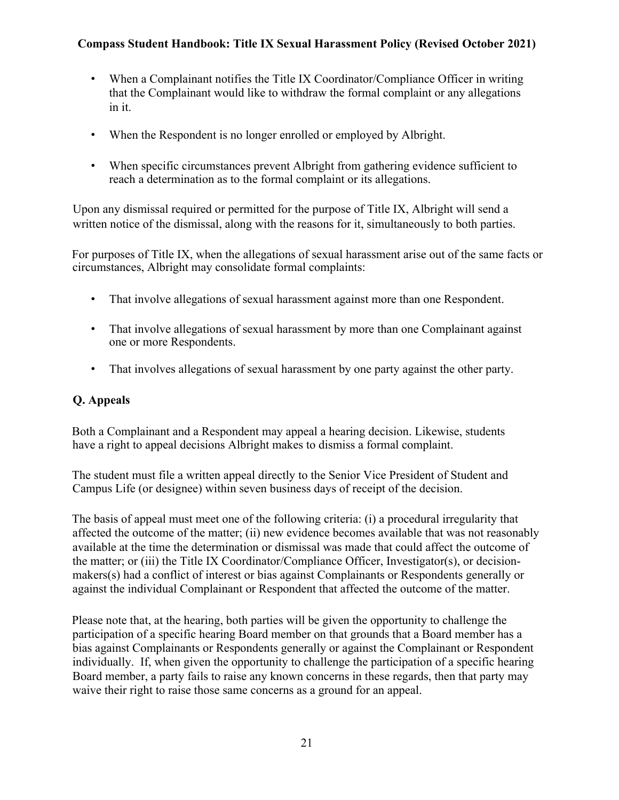- When a Complainant notifies the Title IX Coordinator/Compliance Officer in writing that the Complainant would like to withdraw the formal complaint or any allegations in it.
- When the Respondent is no longer enrolled or employed by Albright.
- When specific circumstances prevent Albright from gathering evidence sufficient to reach a determination as to the formal complaint or its allegations.

Upon any dismissal required or permitted for the purpose of Title IX, Albright will send a written notice of the dismissal, along with the reasons for it, simultaneously to both parties.

For purposes of Title IX, when the allegations of sexual harassment arise out of the same facts or circumstances, Albright may consolidate formal complaints:

- That involve allegations of sexual harassment against more than one Respondent.
- That involve allegations of sexual harassment by more than one Complainant against one or more Respondents.
- That involves allegations of sexual harassment by one party against the other party.

## **Q. Appeals**

Both a Complainant and a Respondent may appeal a hearing decision. Likewise, students have a right to appeal decisions Albright makes to dismiss a formal complaint.

The student must file a written appeal directly to the Senior Vice President of Student and Campus Life (or designee) within seven business days of receipt of the decision.

The basis of appeal must meet one of the following criteria: (i) a procedural irregularity that affected the outcome of the matter; (ii) new evidence becomes available that was not reasonably available at the time the determination or dismissal was made that could affect the outcome of the matter; or (iii) the Title IX Coordinator/Compliance Officer, Investigator(s), or decisionmakers(s) had a conflict of interest or bias against Complainants or Respondents generally or against the individual Complainant or Respondent that affected the outcome of the matter.

Please note that, at the hearing, both parties will be given the opportunity to challenge the participation of a specific hearing Board member on that grounds that a Board member has a bias against Complainants or Respondents generally or against the Complainant or Respondent individually. If, when given the opportunity to challenge the participation of a specific hearing Board member, a party fails to raise any known concerns in these regards, then that party may waive their right to raise those same concerns as a ground for an appeal.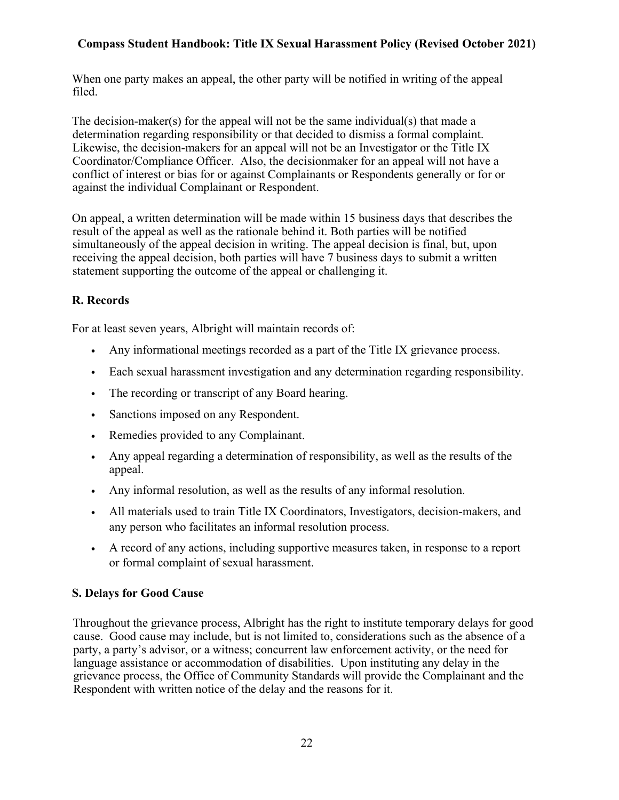When one party makes an appeal, the other party will be notified in writing of the appeal filed.

The decision-maker(s) for the appeal will not be the same individual(s) that made a determination regarding responsibility or that decided to dismiss a formal complaint. Likewise, the decision-makers for an appeal will not be an Investigator or the Title IX Coordinator/Compliance Officer. Also, the decisionmaker for an appeal will not have a conflict of interest or bias for or against Complainants or Respondents generally or for or against the individual Complainant or Respondent.

On appeal, a written determination will be made within 15 business days that describes the result of the appeal as well as the rationale behind it. Both parties will be notified simultaneously of the appeal decision in writing. The appeal decision is final, but, upon receiving the appeal decision, both parties will have 7 business days to submit a written statement supporting the outcome of the appeal or challenging it.

# **R. Records**

For at least seven years, Albright will maintain records of:

- Any informational meetings recorded as a part of the Title IX grievance process.
- Each sexual harassment investigation and any determination regarding responsibility.
- The recording or transcript of any Board hearing.
- Sanctions imposed on any Respondent.
- Remedies provided to any Complainant.
- Any appeal regarding a determination of responsibility, as well as the results of the appeal.
- Any informal resolution, as well as the results of any informal resolution.
- All materials used to train Title IX Coordinators, Investigators, decision-makers, and any person who facilitates an informal resolution process.
- A record of any actions, including supportive measures taken, in response to a report or formal complaint of sexual harassment.

#### **S. Delays for Good Cause**

Throughout the grievance process, Albright has the right to institute temporary delays for good cause. Good cause may include, but is not limited to, considerations such as the absence of a party, a party's advisor, or a witness; concurrent law enforcement activity, or the need for language assistance or accommodation of disabilities. Upon instituting any delay in the grievance process, the Office of Community Standards will provide the Complainant and the Respondent with written notice of the delay and the reasons for it.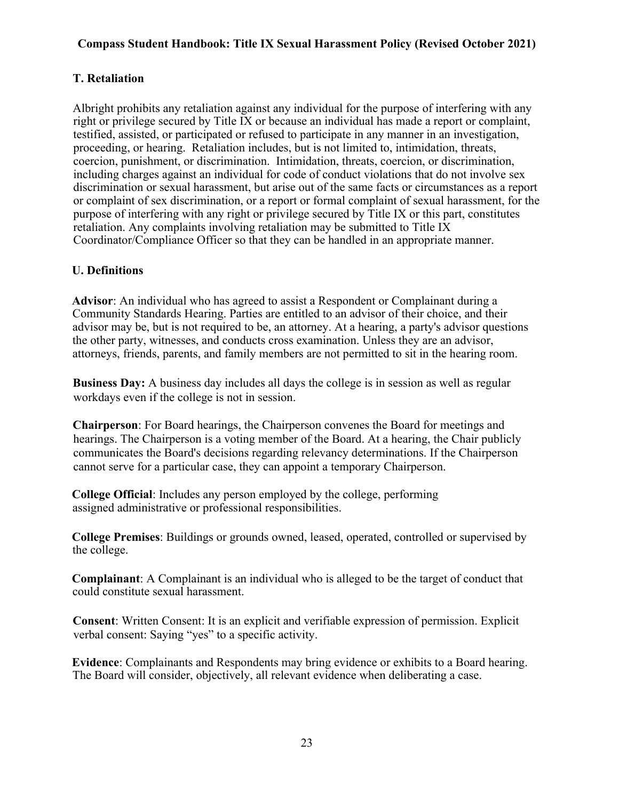### **T. Retaliation**

Albright prohibits any retaliation against any individual for the purpose of interfering with any right or privilege secured by Title IX or because an individual has made a report or complaint, testified, assisted, or participated or refused to participate in any manner in an investigation, proceeding, or hearing. Retaliation includes, but is not limited to, intimidation, threats, coercion, punishment, or discrimination. Intimidation, threats, coercion, or discrimination, including charges against an individual for code of conduct violations that do not involve sex discrimination or sexual harassment, but arise out of the same facts or circumstances as a report or complaint of sex discrimination, or a report or formal complaint of sexual harassment, for the purpose of interfering with any right or privilege secured by Title IX or this part, constitutes retaliation. Any complaints involving retaliation may be submitted to Title IX Coordinator/Compliance Officer so that they can be handled in an appropriate manner.

## **U. Definitions**

**Advisor**: An individual who has agreed to assist a Respondent or Complainant during a Community Standards Hearing. Parties are entitled to an advisor of their choice, and their advisor may be, but is not required to be, an attorney. At a hearing, a party's advisor questions the other party, witnesses, and conducts cross examination. Unless they are an advisor, attorneys, friends, parents, and family members are not permitted to sit in the hearing room.

**Business Day:** A business day includes all days the college is in session as well as regular workdays even if the college is not in session.

**Chairperson**: For Board hearings, the Chairperson convenes the Board for meetings and hearings. The Chairperson is a voting member of the Board. At a hearing, the Chair publicly communicates the Board's decisions regarding relevancy determinations. If the Chairperson cannot serve for a particular case, they can appoint a temporary Chairperson.

**College Official**: Includes any person employed by the college, performing assigned administrative or professional responsibilities.

**College Premises**: Buildings or grounds owned, leased, operated, controlled or supervised by the college.

**Complainant**: A Complainant is an individual who is alleged to be the target of conduct that could constitute sexual harassment.

**Consent**: Written Consent: It is an explicit and verifiable expression of permission. Explicit verbal consent: Saying "yes" to a specific activity.

**Evidence**: Complainants and Respondents may bring evidence or exhibits to a Board hearing. The Board will consider, objectively, all relevant evidence when deliberating a case.